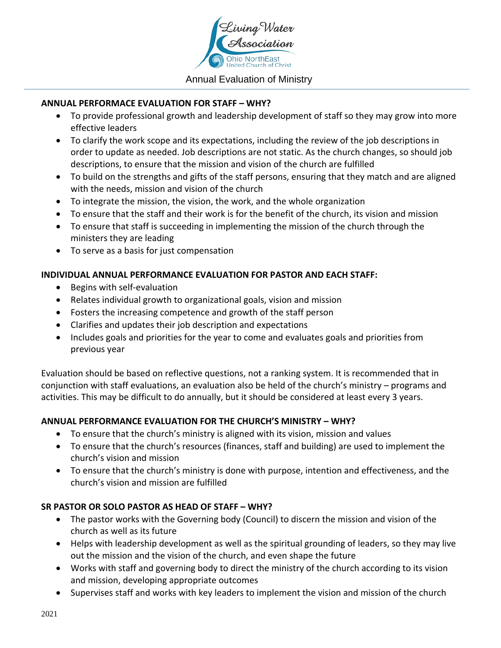

### Annual Evaluation of Ministry

### **ANNUAL PERFORMACE EVALUATION FOR STAFF – WHY?**

- To provide professional growth and leadership development of staff so they may grow into more effective leaders
- To clarify the work scope and its expectations, including the review of the job descriptions in order to update as needed. Job descriptions are not static. As the church changes, so should job descriptions, to ensure that the mission and vision of the church are fulfilled
- To build on the strengths and gifts of the staff persons, ensuring that they match and are aligned with the needs, mission and vision of the church
- To integrate the mission, the vision, the work, and the whole organization
- To ensure that the staff and their work is for the benefit of the church, its vision and mission
- To ensure that staff is succeeding in implementing the mission of the church through the ministers they are leading
- To serve as a basis for just compensation

### **INDIVIDUAL ANNUAL PERFORMANCE EVALUATION FOR PASTOR AND EACH STAFF:**

- Begins with self-evaluation
- Relates individual growth to organizational goals, vision and mission
- Fosters the increasing competence and growth of the staff person
- Clarifies and updates their job description and expectations
- Includes goals and priorities for the year to come and evaluates goals and priorities from previous year

Evaluation should be based on reflective questions, not a ranking system. It is recommended that in conjunction with staff evaluations, an evaluation also be held of the church's ministry – programs and activities. This may be difficult to do annually, but it should be considered at least every 3 years.

### **ANNUAL PERFORMANCE EVALUATION FOR THE CHURCH'S MINISTRY – WHY?**

- To ensure that the church's ministry is aligned with its vision, mission and values
- To ensure that the church's resources (finances, staff and building) are used to implement the church's vision and mission
- To ensure that the church's ministry is done with purpose, intention and effectiveness, and the church's vision and mission are fulfilled

### **SR PASTOR OR SOLO PASTOR AS HEAD OF STAFF – WHY?**

- The pastor works with the Governing body (Council) to discern the mission and vision of the church as well as its future
- Helps with leadership development as well as the spiritual grounding of leaders, so they may live out the mission and the vision of the church, and even shape the future
- Works with staff and governing body to direct the ministry of the church according to its vision and mission, developing appropriate outcomes
- Supervises staff and works with key leaders to implement the vision and mission of the church